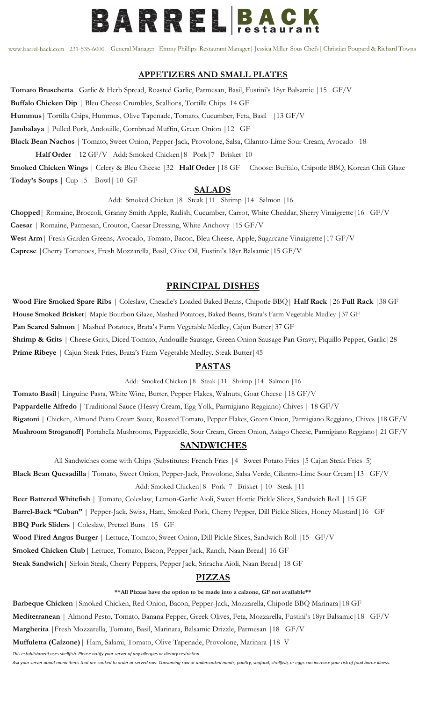

[www.barrel-back.com](http://www.barrel-back.com/) 231-535-6000 General Manager| Emmy Phillips Restaurant Manager| Jessica Miller Sous Chefs| Christian Poupard & Richard Towns

#### **APPETIZERS AND SMALL PLATES**

**Tomato Bruschetta**| Garlic & Herb Spread, Roasted Garlic, Parmesan, Basil, Fustini's 18yr Balsamic |15 GF/V **Buffalo Chicken Dip** | Bleu Cheese Crumbles, Scallions, Tortilla Chips|14 GF **Hummus**| Tortilla Chips, Hummus, Olive Tapenade, Tomato, Cucumber, Feta, Basil |13 GF/V **Jambalaya** | Pulled Pork, Andouille, Cornbread Muffin, Green Onion |12 GF **Black Bean Nachos** | Tomato, Sweet Onion, Pepper-Jack, Provolone, Salsa, Cilantro-Lime Sour Cream, Avocado |18 **Half Order** | 12 GF/V Add: Smoked Chicken|8 Pork|7 Brisket|10

**Smoked Chicken Wings** | Celery & Bleu Cheese |32 **Half Order** |18 GF Choose: Buffalo, Chipotle BBQ, Korean Chili Glaze **Today's Soups** | Cup *|*5 Bowl| 10 GF

#### **SALADS**

Add: Smoked Chicken |8 Steak |11 Shrimp |14 Salmon |16

b **West Arm**| Fresh Garden Greens, Avocado, Tomato, Bacon, Bleu Cheese, Apple, Sugarcane Vinaigrette|17 GF/V **Chopped**| Romaine, Broccoli, Granny Smith Apple, Radish, Cucumber, Carrot, White Cheddar, Sherry Vinaigrette|16 GF/V **Caesar** | Romaine, Parmesan, Crouton, Caesar Dressing, White Anchovy |15 GF/V **Caprese** |Cherry Tomatoes, Fresh Mozzarella, Basil, Olive Oil, Fustini's 18yr Balsamic|15 GF/V

#### **PRINCIPAL DISHES**

**Wood Fire Smoked Spare Ribs** | Coleslaw, Cheadle's Loaded Baked Beans, Chipotle BBQ| **Half Rack** |26 **Full Rack** |38 GF **House Smoked Brisket**| Maple Bourbon Glaze, Mashed Potatoes, Baked Beans, Brata's Farm Vegetable Medley |37 GF **Pan Seared Salmon** | Mashed Potatoes, Brata's Farm Vegetable Medley, Cajun Butter|37 GF **Shrimp & Grits** | Cheese Grits, Diced Tomato, Andouille Sausage, Green Onion Sausage Pan Gravy, Piquillo Pepper, Garlic|28 Prime Ribeye | Cajun Steak Fries, Brata's Farm Vegetable Medley, Steak Butter | 45

#### **PASTAS**

Add: Smoked Chicken |8 Steak |11 Shrimp |14 Salmon |16

**Tomato Basil**| Linguine Pasta, White Wine, Butter, Pepper Flakes, Walnuts, Goat Cheese |18 GF/V

**Pappardelle Alfredo** | Traditional Sauce (Heavy Cream, Egg Yolk, Parmigiano Reggiano) Chives | 18 GF/V

**Rigatoni** | Chicken, Almond Pesto Cream Sauce, Roasted Tomato, Pepper Flakes, Green Onion, Parmigiano Reggiano, Chives |18 GF/V

**Mushroom Stroganoff|** Portabella Mushrooms, Pappardelle, Sour Cream, Green Onion, Asiago Cheese, Parmigiano Reggiano| 21 GF/V

#### **SANDWICHES**

All Sandwiches come with Chips (Substitutes: French Fries | 4 Sweet Potato Fries | 5 Cajun Steak Fries | 5)

**Black Bean Quesadilla**| Tomato, Sweet Onion, Pepper-Jack, Provolone, Salsa Verde, Cilantro-Lime Sour Cream|13 GF/V Add: Smoked Chicken|8 Pork|7 Brisket | 10 Steak |11

**Beer Battered Whitefish** | Tomato, Coleslaw, Lemon-Garlic Aioli, Sweet Hottie Pickle Slices, Sandwich Roll | 15 GF **Barrel-Back "Cuban"** | Pepper-Jack, Swiss, Ham, Smoked Pork, Cherry Pepper, Dill Pickle Slices, Honey Mustard|16 GF **BBQ Pork Sliders** | Coleslaw, Pretzel Buns |15 GF

**Wood Fired Angus Burger** | Lettuce, Tomato, Sweet Onion, Dill Pickle Slices, Sandwich Roll |15 GF/V

**Smoked Chicken Club|** Lettuce, Tomato, Bacon, Pepper Jack, Ranch, Naan Bread| 16 GF

**Steak Sandwich|** Sirloin Steak, Cherry Peppers, Pepper Jack, Sriracha Aioli, Naan Bread| 18 GF

### **PIZZAS**

#### **\*\*All Pizzas have the option to be made into a calzone, GF not available\*\***

**Barbeque Chicken** |Smoked Chicken, Red Onion, Bacon, Pepper-Jack, Mozzarella, Chipotle BBQ Marinara|18 GF

**Mediterranean** | Almond Pesto, Tomato, Banana Pepper, Greek Olives, Feta, Mozzarella, Fustini's 18yr Balsamic|18 GF/V

**Margherita** |Fresh Mozzarella, Tomato, Basil, Marinara, Balsamic Drizzle, Parmesan |18 GF/V

**Muffuletta (Calzone)|** Ham, Salami, Tomato, Olive Tapenade, Provolone, Marinara **|**18 V

*This establishment uses shellfish. Please notify your server of any allergies or dietary restriction.*

*Ask your server about menu items that are cooked to order or served raw. Consuming raw or undercooked meats, poultry, seafood, shellfish, or eggs can increase your risk of food borne illness.*